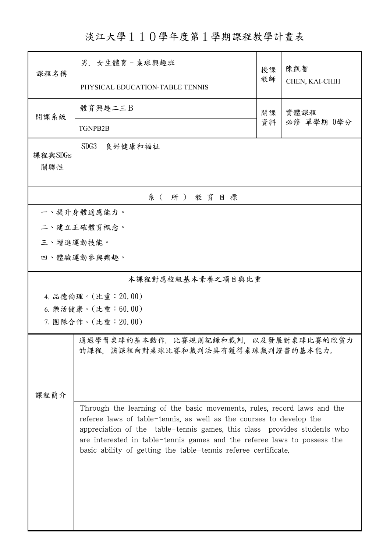淡江大學110學年度第1學期課程教學計畫表

|                   | 男. 女生體育-桌球興趣班                                                                                                                                                                                                                                                                                                                                                            | 授課 | 陳凱智            |  |  |  |
|-------------------|--------------------------------------------------------------------------------------------------------------------------------------------------------------------------------------------------------------------------------------------------------------------------------------------------------------------------------------------------------------------------|----|----------------|--|--|--|
| 課程名稱              | PHYSICAL EDUCATION-TABLE TENNIS                                                                                                                                                                                                                                                                                                                                          | 教師 | CHEN, KAI-CHIH |  |  |  |
| 開課系級              | 體育興趣二三B                                                                                                                                                                                                                                                                                                                                                                  | 開課 | 實體課程           |  |  |  |
|                   | <b>TGNPB2B</b>                                                                                                                                                                                                                                                                                                                                                           | 資料 | 必修 單學期 0學分     |  |  |  |
| 課程與SDGs<br>關聯性    | SDG3<br>良好健康和福祉                                                                                                                                                                                                                                                                                                                                                          |    |                |  |  |  |
| 系 (所) 教育目標        |                                                                                                                                                                                                                                                                                                                                                                          |    |                |  |  |  |
| 一、提升身體適應能力。       |                                                                                                                                                                                                                                                                                                                                                                          |    |                |  |  |  |
|                   | 二、建立正確體育概念。                                                                                                                                                                                                                                                                                                                                                              |    |                |  |  |  |
| 三、增進運動技能。         |                                                                                                                                                                                                                                                                                                                                                                          |    |                |  |  |  |
|                   | 四、體驗運動參與樂趣。                                                                                                                                                                                                                                                                                                                                                              |    |                |  |  |  |
| 本課程對應校級基本素養之項目與比重 |                                                                                                                                                                                                                                                                                                                                                                          |    |                |  |  |  |
|                   | 4. 品德倫理。(比重: 20.00)                                                                                                                                                                                                                                                                                                                                                      |    |                |  |  |  |
|                   | 6. 樂活健康。(比重:60.00)                                                                                                                                                                                                                                                                                                                                                       |    |                |  |  |  |
|                   | 7. 團隊合作。(比重:20.00)                                                                                                                                                                                                                                                                                                                                                       |    |                |  |  |  |
| 课程简介              | 通過學習桌球的基本動作,比賽規則記錄和裁判,以及發展對桌球比賽的欣賞力<br>的課程,該課程向對桌球比賽和裁判法具有獲得桌球裁判證書的基本能力。                                                                                                                                                                                                                                                                                                 |    |                |  |  |  |
|                   | Through the learning of the basic movements, rules, record laws and the<br>referee laws of table-tennis, as well as the courses to develop the<br>appreciation of the table-tennis games, this class provides students who<br>are interested in table-tennis games and the referee laws to possess the<br>basic ability of getting the table-tennis referee certificate. |    |                |  |  |  |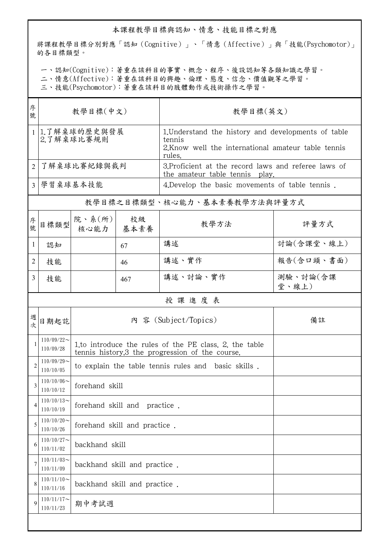## 本課程教學目標與認知、情意、技能目標之對應

將課程教學目標分別對應「認知(Cognitive)」、「情意(Affective)」與「技能(Psychomotor)」 的各目標類型。

一、認知(Cognitive):著重在該科目的事實、概念、程序、後設認知等各類知識之學習。

二、情意(Affective):著重在該科目的興趣、倫理、態度、信念、價值觀等之學習。

三、技能(Psychomotor):著重在該科目的肢體動作或技術操作之學習。

| 序<br>號         | 教學目標(中文)                      |                                                                                                           |     | 教學目標(英文)                                                                                                                       |                   |  |  |  |
|----------------|-------------------------------|-----------------------------------------------------------------------------------------------------------|-----|--------------------------------------------------------------------------------------------------------------------------------|-------------------|--|--|--|
|                | 1.了解桌球的歷史與發展<br>2.了解桌球比賽規則    |                                                                                                           |     | 1. Understand the history and developments of table<br>tennis<br>2. Know well the international amateur table tennis<br>rules. |                   |  |  |  |
| $\overline{2}$ | 了解桌球比賽紀錄與裁判                   |                                                                                                           |     | 3. Proficient at the record laws and referee laws of<br>the amateur table tennis play.                                         |                   |  |  |  |
| $\mathcal{E}$  | 學習桌球基本技能                      |                                                                                                           |     | 4. Develop the basic movements of table tennis.                                                                                |                   |  |  |  |
|                |                               |                                                                                                           |     | 教學目標之目標類型、核心能力、基本素養教學方法與評量方式                                                                                                   |                   |  |  |  |
| 序號             | 目標類型                          | 院、系 $(\text{m})$<br>核心能力   基本素養                                                                           | 校級  | 教學方法                                                                                                                           | 評量方式              |  |  |  |
| 1              | 認知                            |                                                                                                           | 67  | 講述                                                                                                                             | 討論(含課堂、線上)        |  |  |  |
| $\overline{2}$ | 技能                            |                                                                                                           | 46  | 講述、實作                                                                                                                          | 報告(含口頭、書面)        |  |  |  |
| 3              | 技能                            |                                                                                                           | 467 | 講述、討論、實作                                                                                                                       | 測驗、討論(含課<br>堂、線上) |  |  |  |
|                | 授課進度表                         |                                                                                                           |     |                                                                                                                                |                   |  |  |  |
| 週次             | 日期起訖                          |                                                                                                           |     | 內 容 (Subject/Topics)                                                                                                           | 備註                |  |  |  |
|                | $110/09/22$ ~<br>110/09/28    | 1.to introduce the rules of the PE class, 2, the table<br>tennis history.3 the progression of the course. |     |                                                                                                                                |                   |  |  |  |
| $\overline{c}$ | $110/09/29$ ~<br>110/10/05    | to explain the table tennis rules and basic skills.                                                       |     |                                                                                                                                |                   |  |  |  |
| 3              | $110/10/06 \sim$<br>110/10/12 | forehand skill                                                                                            |     |                                                                                                                                |                   |  |  |  |
|                | $110/10/13$ ~<br>110/10/19    | forehand skill and<br>practice.                                                                           |     |                                                                                                                                |                   |  |  |  |
| 5              | $110/10/20$ ~<br>110/10/26    | forehand skill and practice.                                                                              |     |                                                                                                                                |                   |  |  |  |
| 6              | $110/10/27$ ~<br>110/11/02    | backhand skill                                                                                            |     |                                                                                                                                |                   |  |  |  |
| 7              | $110/11/03$ ~<br>110/11/09    | backhand skill and practice.                                                                              |     |                                                                                                                                |                   |  |  |  |
| 8              | $110/11/10$ ~<br>110/11/16    | backhand skill and practice.                                                                              |     |                                                                                                                                |                   |  |  |  |
| 9              | $110/11/17$ ~<br>110/11/23    | 期中考試週                                                                                                     |     |                                                                                                                                |                   |  |  |  |
|                |                               |                                                                                                           |     |                                                                                                                                |                   |  |  |  |